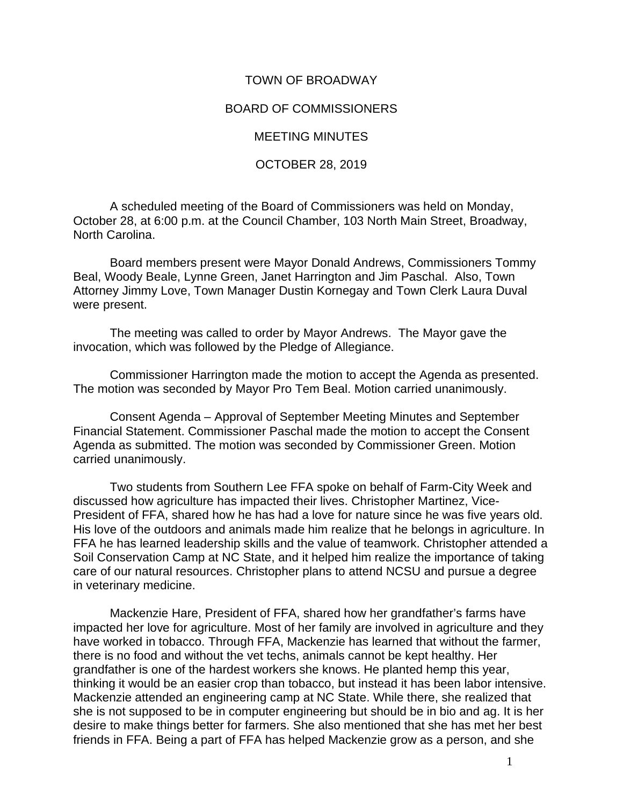## TOWN OF BROADWAY

## BOARD OF COMMISSIONERS

## MEETING MINUTES

## OCTOBER 28, 2019

A scheduled meeting of the Board of Commissioners was held on Monday, October 28, at 6:00 p.m. at the Council Chamber, 103 North Main Street, Broadway, North Carolina.

Board members present were Mayor Donald Andrews, Commissioners Tommy Beal, Woody Beale, Lynne Green, Janet Harrington and Jim Paschal. Also, Town Attorney Jimmy Love, Town Manager Dustin Kornegay and Town Clerk Laura Duval were present.

The meeting was called to order by Mayor Andrews. The Mayor gave the invocation, which was followed by the Pledge of Allegiance.

Commissioner Harrington made the motion to accept the Agenda as presented. The motion was seconded by Mayor Pro Tem Beal. Motion carried unanimously.

Consent Agenda – Approval of September Meeting Minutes and September Financial Statement. Commissioner Paschal made the motion to accept the Consent Agenda as submitted. The motion was seconded by Commissioner Green. Motion carried unanimously.

Two students from Southern Lee FFA spoke on behalf of Farm-City Week and discussed how agriculture has impacted their lives. Christopher Martinez, Vice-President of FFA, shared how he has had a love for nature since he was five years old. His love of the outdoors and animals made him realize that he belongs in agriculture. In FFA he has learned leadership skills and the value of teamwork. Christopher attended a Soil Conservation Camp at NC State, and it helped him realize the importance of taking care of our natural resources. Christopher plans to attend NCSU and pursue a degree in veterinary medicine.

Mackenzie Hare, President of FFA, shared how her grandfather's farms have impacted her love for agriculture. Most of her family are involved in agriculture and they have worked in tobacco. Through FFA, Mackenzie has learned that without the farmer, there is no food and without the vet techs, animals cannot be kept healthy. Her grandfather is one of the hardest workers she knows. He planted hemp this year, thinking it would be an easier crop than tobacco, but instead it has been labor intensive. Mackenzie attended an engineering camp at NC State. While there, she realized that she is not supposed to be in computer engineering but should be in bio and ag. It is her desire to make things better for farmers. She also mentioned that she has met her best friends in FFA. Being a part of FFA has helped Mackenzie grow as a person, and she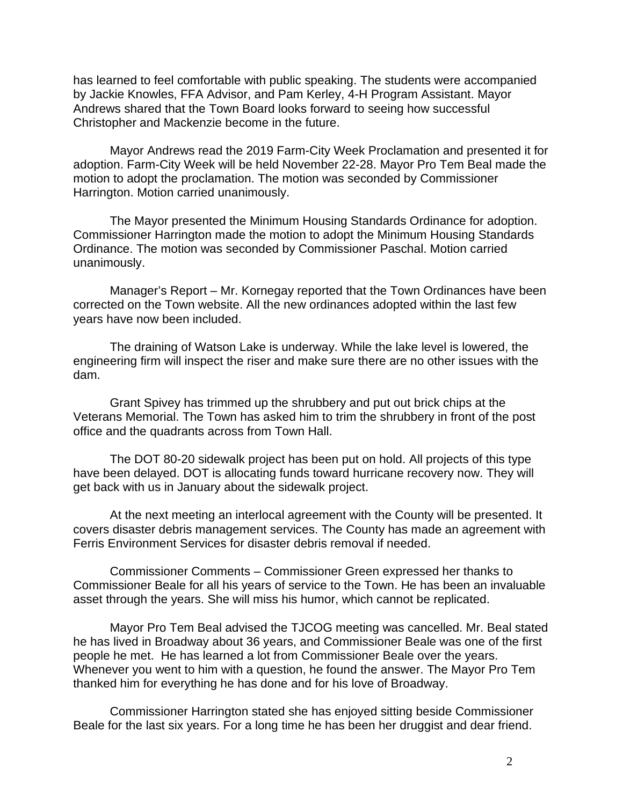has learned to feel comfortable with public speaking. The students were accompanied by Jackie Knowles, FFA Advisor, and Pam Kerley, 4-H Program Assistant. Mayor Andrews shared that the Town Board looks forward to seeing how successful Christopher and Mackenzie become in the future.

Mayor Andrews read the 2019 Farm-City Week Proclamation and presented it for adoption. Farm-City Week will be held November 22-28. Mayor Pro Tem Beal made the motion to adopt the proclamation. The motion was seconded by Commissioner Harrington. Motion carried unanimously.

The Mayor presented the Minimum Housing Standards Ordinance for adoption. Commissioner Harrington made the motion to adopt the Minimum Housing Standards Ordinance. The motion was seconded by Commissioner Paschal. Motion carried unanimously.

Manager's Report – Mr. Kornegay reported that the Town Ordinances have been corrected on the Town website. All the new ordinances adopted within the last few years have now been included.

The draining of Watson Lake is underway. While the lake level is lowered, the engineering firm will inspect the riser and make sure there are no other issues with the dam.

Grant Spivey has trimmed up the shrubbery and put out brick chips at the Veterans Memorial. The Town has asked him to trim the shrubbery in front of the post office and the quadrants across from Town Hall.

The DOT 80-20 sidewalk project has been put on hold. All projects of this type have been delayed. DOT is allocating funds toward hurricane recovery now. They will get back with us in January about the sidewalk project.

At the next meeting an interlocal agreement with the County will be presented. It covers disaster debris management services. The County has made an agreement with Ferris Environment Services for disaster debris removal if needed.

Commissioner Comments – Commissioner Green expressed her thanks to Commissioner Beale for all his years of service to the Town. He has been an invaluable asset through the years. She will miss his humor, which cannot be replicated.

Mayor Pro Tem Beal advised the TJCOG meeting was cancelled. Mr. Beal stated he has lived in Broadway about 36 years, and Commissioner Beale was one of the first people he met. He has learned a lot from Commissioner Beale over the years. Whenever you went to him with a question, he found the answer. The Mayor Pro Tem thanked him for everything he has done and for his love of Broadway.

Commissioner Harrington stated she has enjoyed sitting beside Commissioner Beale for the last six years. For a long time he has been her druggist and dear friend.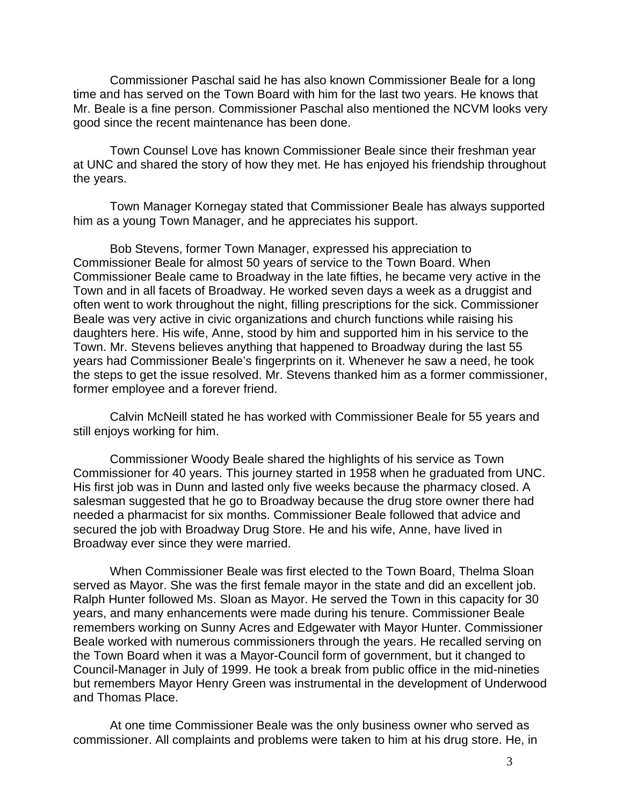Commissioner Paschal said he has also known Commissioner Beale for a long time and has served on the Town Board with him for the last two years. He knows that Mr. Beale is a fine person. Commissioner Paschal also mentioned the NCVM looks very good since the recent maintenance has been done.

Town Counsel Love has known Commissioner Beale since their freshman year at UNC and shared the story of how they met. He has enjoyed his friendship throughout the years.

Town Manager Kornegay stated that Commissioner Beale has always supported him as a young Town Manager, and he appreciates his support.

Bob Stevens, former Town Manager, expressed his appreciation to Commissioner Beale for almost 50 years of service to the Town Board. When Commissioner Beale came to Broadway in the late fifties, he became very active in the Town and in all facets of Broadway. He worked seven days a week as a druggist and often went to work throughout the night, filling prescriptions for the sick. Commissioner Beale was very active in civic organizations and church functions while raising his daughters here. His wife, Anne, stood by him and supported him in his service to the Town. Mr. Stevens believes anything that happened to Broadway during the last 55 years had Commissioner Beale's fingerprints on it. Whenever he saw a need, he took the steps to get the issue resolved. Mr. Stevens thanked him as a former commissioner, former employee and a forever friend.

Calvin McNeill stated he has worked with Commissioner Beale for 55 years and still enjoys working for him.

Commissioner Woody Beale shared the highlights of his service as Town Commissioner for 40 years. This journey started in 1958 when he graduated from UNC. His first job was in Dunn and lasted only five weeks because the pharmacy closed. A salesman suggested that he go to Broadway because the drug store owner there had needed a pharmacist for six months. Commissioner Beale followed that advice and secured the job with Broadway Drug Store. He and his wife, Anne, have lived in Broadway ever since they were married.

When Commissioner Beale was first elected to the Town Board, Thelma Sloan served as Mayor. She was the first female mayor in the state and did an excellent job. Ralph Hunter followed Ms. Sloan as Mayor. He served the Town in this capacity for 30 years, and many enhancements were made during his tenure. Commissioner Beale remembers working on Sunny Acres and Edgewater with Mayor Hunter. Commissioner Beale worked with numerous commissioners through the years. He recalled serving on the Town Board when it was a Mayor-Council form of government, but it changed to Council-Manager in July of 1999. He took a break from public office in the mid-nineties but remembers Mayor Henry Green was instrumental in the development of Underwood and Thomas Place.

At one time Commissioner Beale was the only business owner who served as commissioner. All complaints and problems were taken to him at his drug store. He, in